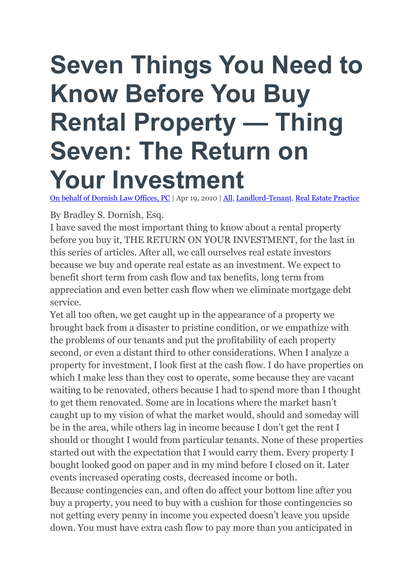## **Seven Things You Need to Know Before You Buy Rental Property — Thing Seven: The Return on Your Investment**

On behalf of [Dornish](https://www.dornish.net/) Law Offices, PC | Apr 19, 2010 | [All,](https://www.dornish.net/blog/category/all/) [Landlord-Tenant,](https://www.dornish.net/blog/category/landlord-tenant/) Real Estate [Practice](https://www.dornish.net/blog/category/real-estate-practice/)

By Bradley S. Dornish, Esq.

I have saved the most important thing to know about a rental property before you buy it, THE RETURN ON YOUR INVESTMENT, for the last in this series of articles. After all, we call ourselves real estate investors because we buy and operate real estate as an investment. We expect to benefit short term from cash flow and tax benefits, long term from appreciation and even better cash flow when we eliminate mortgage debt service.

Yet all too often, we get caught up in the appearance of a property we brought back from a disaster to pristine condition, or we empathize with the problems of our tenants and put the profitability of each property second, or even a distant third to other considerations. When I analyze a property for investment, I look first at the cash flow. I do have properties on which I make less than they cost to operate, some because they are vacant waiting to be renovated, others because I had to spend more than I thought to get them renovated. Some are in locations where the market hasn't caught up to my vision of what the market would, should and someday will be in the area, while others lag in income because I don't get the rent I should or thought I would from particular tenants. None of these properties started out with the expectation that I would carry them. Every property I bought looked good on paper and in my mind before I closed on it. Later events increased operating costs, decreased income or both. Because contingencies can, and often do affect your bottom line after you buy a property, you need to buy with a cushion for those contingencies so not getting every penny in income you expected doesn't leave you upside down. You must have extra cash flow to pay more than you anticipated in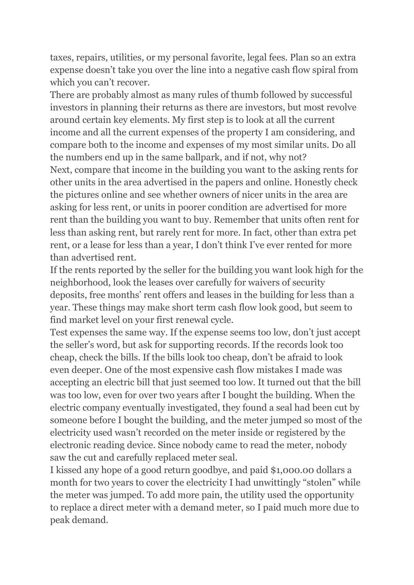taxes, repairs, utilities, or my personal favorite, legal fees. Plan so an extra expense doesn't take you over the line into a negative cash flow spiral from which you can't recover.

There are probably almost as many rules of thumb followed by successful investors in planning their returns as there are investors, but most revolve around certain key elements. My first step is to look at all the current income and all the current expenses of the property I am considering, and compare both to the income and expenses of my most similar units. Do all the numbers end up in the same ballpark, and if not, why not?

Next, compare that income in the building you want to the asking rents for other units in the area advertised in the papers and online. Honestly check the pictures online and see whether owners of nicer units in the area are asking for less rent, or units in poorer condition are advertised for more rent than the building you want to buy. Remember that units often rent for less than asking rent, but rarely rent for more. In fact, other than extra pet rent, or a lease for less than a year, I don't think I've ever rented for more than advertised rent.

If the rents reported by the seller for the building you want look high for the neighborhood, look the leases over carefully for waivers of security deposits, free months' rent offers and leases in the building for less than a year. These things may make short term cash flow look good, but seem to find market level on your first renewal cycle.

Test expenses the same way. If the expense seems too low, don't just accept the seller's word, but ask for supporting records. If the records look too cheap, check the bills. If the bills look too cheap, don't be afraid to look even deeper. One of the most expensive cash flow mistakes I made was accepting an electric bill that just seemed too low. It turned out that the bill was too low, even for over two years after I bought the building. When the electric company eventually investigated, they found a seal had been cut by someone before I bought the building, and the meter jumped so most of the electricity used wasn't recorded on the meter inside or registered by the electronic reading device. Since nobody came to read the meter, nobody saw the cut and carefully replaced meter seal.

I kissed any hope of a good return goodbye, and paid \$1,000.00 dollars a month for two years to cover the electricity I had unwittingly "stolen" while the meter was jumped. To add more pain, the utility used the opportunity to replace a direct meter with a demand meter, so I paid much more due to peak demand.